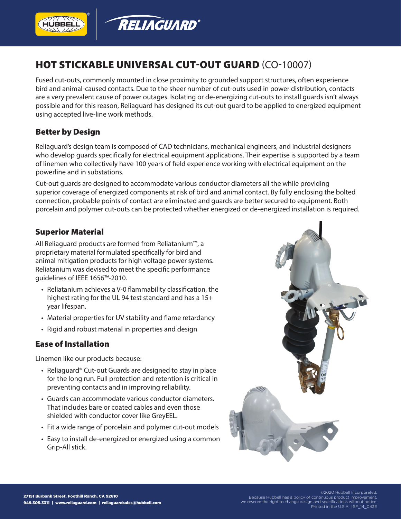

# HOT STICKABLE UNIVERSAL CUT-OUT GUARD (CO-10007)

Fused cut-outs, commonly mounted in close proximity to grounded support structures, often experience bird and animal-caused contacts. Due to the sheer number of cut-outs used in power distribution, contacts are a very prevalent cause of power outages. Isolating or de-energizing cut-outs to install guards isn't always possible and for this reason, Reliaguard has designed its cut-out guard to be applied to energized equipment using accepted live-line work methods.

## Better by Design

Reliaguard's design team is composed of CAD technicians, mechanical engineers, and industrial designers who develop guards specifically for electrical equipment applications. Their expertise is supported by a team of linemen who collectively have 100 years of field experience working with electrical equipment on the powerline and in substations.

Cut-out guards are designed to accommodate various conductor diameters all the while providing superior coverage of energized components at risk of bird and animal contact. By fully enclosing the bolted connection, probable points of contact are eliminated and guards are better secured to equipment. Both porcelain and polymer cut-outs can be protected whether energized or de-energized installation is required.

## Superior Material

All Reliaguard products are formed from Reliatanium™, a proprietary material formulated specifically for bird and animal mitigation products for high voltage power systems. Reliatanium was devised to meet the specific performance guidelines of IEEE 1656™-2010.

- Reliatanium achieves a V-0 flammability classification, the highest rating for the UL 94 test standard and has a 15+ year lifespan.
- Material properties for UV stability and flame retardancy
- Rigid and robust material in properties and design

#### Ease of Installation

Linemen like our products because:

- Reliaguard® Cut-out Guards are designed to stay in place for the long run. Full protection and retention is critical in preventing contacts and in improving reliability.
- Guards can accommodate various conductor diameters. That includes bare or coated cables and even those shielded with conductor cover like GreyEEL.
- Fit a wide range of porcelain and polymer cut-out models
- Easy to install de-energized or energized using a common Grip-All stick.



Because Hubbell has a policy of continuous product improvement, we reserve the right to change design and specifications without notice. Printed in the U.S.A. | SF\_14\_043E

©2020 Hubbell Incorporated.